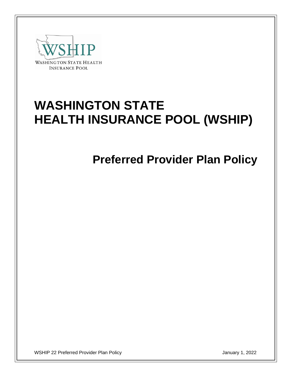

# **WASHINGTON STATE HEALTH INSURANCE POOL (WSHIP)**

**Preferred Provider Plan Policy**

WSHIP 22 Preferred Provider Plan Policy January 1, 2022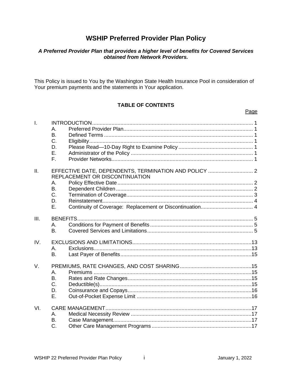# **WSHIP Preferred Provider Plan Policy**

# A Preferred Provider Plan that provides a higher level of benefits for Covered Services<br>obtained from Network Providers.

This Policy is issued to You by the Washington State Health Insurance Pool in consideration of Your premium payments and the statements in Your application.

## **TABLE OF CONTENTS**

| $\mathbf{I}$ . | Α.<br><b>B.</b><br>C.<br>D.<br>Ε.<br>F.  |                                                                                         |  |
|----------------|------------------------------------------|-----------------------------------------------------------------------------------------|--|
| II.            | Α.<br>B.<br>$C_{\cdot}$<br>D.<br>Ε.      | EFFECTIVE DATE, DEPENDENTS, TERMINATION AND POLICY  2<br>REPLACEMENT OR DISCONTINUATION |  |
| III.           | <b>BENEFITS.</b><br>A.<br>B <sub>1</sub> |                                                                                         |  |
| IV.            | А.<br><b>B.</b>                          |                                                                                         |  |
| V.             | A.<br><b>B.</b><br>C.<br>D.<br>Ε.        |                                                                                         |  |
| VI.            | А.<br>B.<br>C.                           |                                                                                         |  |

Page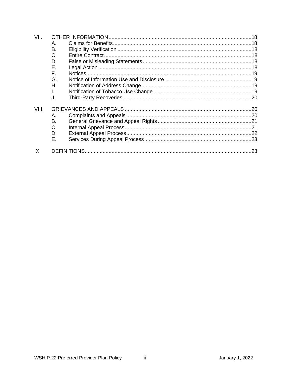| VII.  |    |  |  |  |
|-------|----|--|--|--|
|       | Α. |  |  |  |
|       | В. |  |  |  |
|       | C. |  |  |  |
|       | D. |  |  |  |
|       | Е. |  |  |  |
|       | F. |  |  |  |
|       | G. |  |  |  |
|       | Η. |  |  |  |
|       | I. |  |  |  |
|       | J. |  |  |  |
| VIII. |    |  |  |  |
|       | Α. |  |  |  |
|       | Β. |  |  |  |
|       | C. |  |  |  |
|       | D. |  |  |  |
|       | Е. |  |  |  |
| IX.   |    |  |  |  |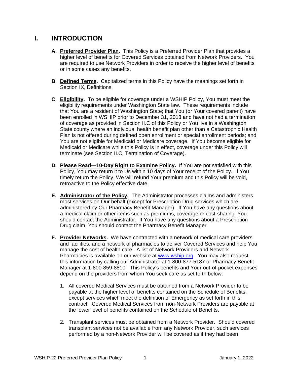## **I. INTRODUCTION**

- **A. Preferred Provider Plan.** This Policy is a Preferred Provider Plan that provides a higher level of benefits for Covered Services obtained from Network Providers. You are required to use Network Providers in order to receive the higher level of benefits or in some cases any benefits.
- **B. Defined Terms.** Capitalized terms in this Policy have the meanings set forth in Section IX, Definitions.
- **C. Eligibility.** To be eligible for coverage under a WSHIP Policy, You must meet the eligibility requirements under Washington State law. These requirements include that You are a resident of Washington State; that You (or Your covered parent) have been enrolled in WSHIP prior to December 31, 2013 and have not had a termination of coverage as provided in Section II.C of this Policy or You live in a Washington State county where an individual health benefit plan other than a Catastrophic Health Plan is not offered during defined open enrollment or special enrollment periods; and You are not eligible for Medicaid or Medicare coverage. If You become eligible for Medicaid or Medicare while this Policy is in effect, coverage under this Policy will terminate (see Section II.C, Termination of Coverage).
- **D. Please Read—10-Day Right to Examine Policy.** If You are not satisfied with this Policy, You may return it to Us within 10 days of Your receipt of the Policy. If You timely return the Policy, We will refund Your premium and this Policy will be void, retroactive to the Policy effective date.
- **E. Administrator of the Policy.** The Administrator processes claims and administers most services on Our behalf (except for Prescription Drug services which are administered by Our Pharmacy Benefit Manager). If You have any questions about a medical claim or other items such as premiums, coverage or cost-sharing, You should contact the Administrator. If You have any questions about a Prescription Drug claim, You should contact the Pharmacy Benefit Manager.
- **F. Provider Networks.** We have contracted with a network of medical care providers and facilities, and a network of pharmacies to deliver Covered Services and help You manage the cost of health care. A list of Network Providers and Network Pharmacies is available on our website at [www.wship.org.](http://www.wship.org/) You may also request this information by calling our Administrator at 1-800-877-5187 or Pharmacy Benefit Manager at 1-800-859-8810. This Policy's benefits and Your out-of-pocket expenses depend on the providers from whom You seek care as set forth below:
	- 1. All covered Medical Services must be obtained from a Network Provider to be payable at the higher level of benefits contained on the Schedule of Benefits, except services which meet the definition of Emergency as set forth in this contract. Covered Medical Services from non-Network Providers are payable at the lower level of benefits contained on the Schedule of Benefits.
	- 2. Transplant services must be obtained from a Network Provider. Should covered transplant services not be available from any Network Provider, such services performed by a non-Network Provider will be covered as if they had been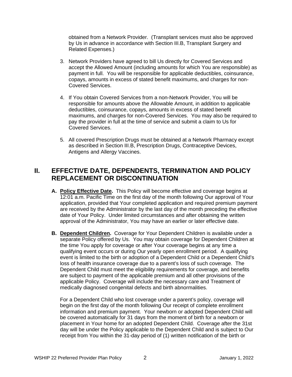obtained from a Network Provider. (Transplant services must also be approved by Us in advance in accordance with Section III.B, Transplant Surgery and Related Expenses.)

- 3. Network Providers have agreed to bill Us directly for Covered Services and accept the Allowed Amount (including amounts for which You are responsible) as payment in full. You will be responsible for applicable deductibles, coinsurance, copays, amounts in excess of stated benefit maximums, and charges for non-Covered Services.
- 4. If You obtain Covered Services from a non-Network Provider, You will be responsible for amounts above the Allowable Amount, in addition to applicable deductibles, coinsurance, copays, amounts in excess of stated benefit maximums, and charges for non-Covered Services. You may also be required to pay the provider in full at the time of service and submit a claim to Us for Covered Services.
- 5. All covered Prescription Drugs must be obtained at a Network Pharmacy except as described in Section III.B, Prescription Drugs, Contraceptive Devices, Antigens and Allergy Vaccines.

# **II. EFFECTIVE DATE, DEPENDENTS, TERMINATION AND POLICY REPLACEMENT OR DISCONTINUATION**

- **A. Policy Effective Date.** This Policy will become effective and coverage begins at 12:01 a.m. Pacific Time on the first day of the month following Our approval of Your application, provided that Your completed application and required premium payment are received by the Administrator by the last day of the month preceding the effective date of Your Policy. Under limited circumstances and after obtaining the written approval of the Administrator, You may have an earlier or later effective date.
- **B. Dependent Children.** Coverage for Your Dependent Children is available under a separate Policy offered by Us. You may obtain coverage for Dependent Children at the time You apply for coverage or after Your coverage begins at any time a qualifying event occurs or during Our yearly open enrollment period. A qualifying event is limited to the birth or adoption of a Dependent Child or a Dependent Child's loss of health insurance coverage due to a parent's loss of such coverage. The Dependent Child must meet the eligibility requirements for coverage, and benefits are subject to payment of the applicable premium and all other provisions of the applicable Policy. Coverage will include the necessary care and Treatment of medically diagnosed congenital defects and birth abnormalities.

For a Dependent Child who lost coverage under a parent's policy, coverage will begin on the first day of the month following Our receipt of complete enrollment information and premium payment. Your newborn or adopted Dependent Child will be covered automatically for 31 days from the moment of birth for a newborn or placement in Your home for an adopted Dependent Child. Coverage after the 31st day will be under the Policy applicable to the Dependent Child and is subject to Our receipt from You within the 31-day period of (1) written notification of the birth or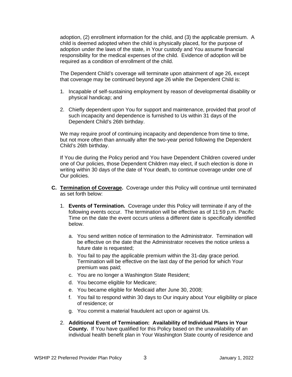adoption, (2) enrollment information for the child, and (3) the applicable premium. A child is deemed adopted when the child is physically placed, for the purpose of adoption under the laws of the state, in Your custody and You assume financial responsibility for the medical expenses of the child. Evidence of adoption will be required as a condition of enrollment of the child.

The Dependent Child's coverage will terminate upon attainment of age 26, except that coverage may be continued beyond age 26 while the Dependent Child is:

- 1. Incapable of self-sustaining employment by reason of developmental disability or physical handicap; and
- 2. Chiefly dependent upon You for support and maintenance, provided that proof of such incapacity and dependence is furnished to Us within 31 days of the Dependent Child's 26th birthday.

We may require proof of continuing incapacity and dependence from time to time, but not more often than annually after the two-year period following the Dependent Child's 26th birthday.

If You die during the Policy period and You have Dependent Children covered under one of Our policies, those Dependent Children may elect, if such election is done in writing within 30 days of the date of Your death, to continue coverage under one of Our policies.

- **C. Termination of Coverage.** Coverage under this Policy will continue until terminated as set forth below:
	- 1. **Events of Termination.** Coverage under this Policy will terminate if any of the following events occur. The termination will be effective as of 11:59 p.m. Pacific Time on the date the event occurs unless a different date is specifically identified below.
		- a. You send written notice of termination to the Administrator. Termination will be effective on the date that the Administrator receives the notice unless a future date is requested;
		- b. You fail to pay the applicable premium within the 31-day grace period. Termination will be effective on the last day of the period for which Your premium was paid;
		- c. You are no longer a Washington State Resident;
		- d. You become eligible for Medicare;
		- e. You became eligible for Medicaid after June 30, 2008;
		- f. You fail to respond within 30 days to Our inquiry about Your eligibility or place of residence; or
		- g. You commit a material fraudulent act upon or against Us.
	- 2. **Additional Event of Termination: Availability of Individual Plans in Your County.** If You have qualified for this Policy based on the unavailability of an individual health benefit plan in Your Washington State county of residence and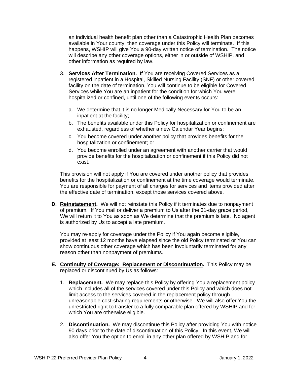an individual health benefit plan other than a Catastrophic Health Plan becomes available in Your county, then coverage under this Policy will terminate. If this happens, WSHIP will give You a 90-day written notice of termination. The notice will describe any other coverage options, either in or outside of WSHIP, and other information as required by law.

- 3. **Services After Termination.** If You are receiving Covered Services as a registered inpatient in a Hospital, Skilled Nursing Facility (SNF) or other covered facility on the date of termination, You will continue to be eligible for Covered Services while You are an inpatient for the condition for which You were hospitalized or confined, until one of the following events occurs:
	- a. We determine that it is no longer Medically Necessary for You to be an inpatient at the facility;
	- b. The benefits available under this Policy for hospitalization or confinement are exhausted, regardless of whether a new Calendar Year begins;
	- c. You become covered under another policy that provides benefits for the hospitalization or confinement; or
	- d. You become enrolled under an agreement with another carrier that would provide benefits for the hospitalization or confinement if this Policy did not exist.

This provision will not apply if You are covered under another policy that provides benefits for the hospitalization or confinement at the time coverage would terminate. You are responsible for payment of all charges for services and items provided after the effective date of termination, except those services covered above.

**D. Reinstatement.** We will not reinstate this Policy if it terminates due to nonpayment of premium. If You mail or deliver a premium to Us after the 31-day grace period, We will return it to You as soon as We determine that the premium is late. No agent is authorized by Us to accept a late premium.

You may re-apply for coverage under the Policy if You again become eligible, provided at least 12 months have elapsed since the old Policy terminated or You can show continuous other coverage which has been involuntarily terminated for any reason other than nonpayment of premiums.

- **E. Continuity of Coverage: Replacement or Discontinuation.** This Policy may be replaced or discontinued by Us as follows:
	- 1. **Replacement.** We may replace this Policy by offering You a replacement policy which includes all of the services covered under this Policy and which does not limit access to the services covered in the replacement policy through unreasonable cost-sharing requirements or otherwise. We will also offer You the unrestricted right to transfer to a fully comparable plan offered by WSHIP and for which You are otherwise eligible.
	- 2. **Discontinuation.** We may discontinue this Policy after providing You with notice 90 days prior to the date of discontinuation of this Policy. In this event, We will also offer You the option to enroll in any other plan offered by WSHIP and for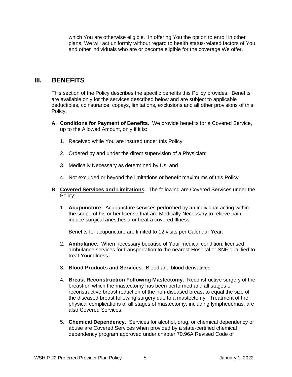which You are otherwise eligible. In offering You the option to enroll in other plans, We will act uniformly without regard to health status-related factors of You and other individuals who are or become eligible for the coverage We offer.

## **III. BENEFITS**

This section of the Policy describes the specific benefits this Policy provides. Benefits are available only for the services described below and are subject to applicable deductibles, coinsurance, copays, limitations, exclusions and all other provisions of this Policy.

- **A. Conditions for Payment of Benefits.** We provide benefits for a Covered Service, up to the Allowed Amount, only if it is:
	- 1. Received while You are insured under this Policy;
	- 2. Ordered by and under the direct supervision of a Physician;
	- 3. Medically Necessary as determined by Us; and
	- 4. Not excluded or beyond the limitations or benefit maximums of this Policy.
- **B. Covered Services and Limitations.** The following are Covered Services under the Policy:
	- 1. **Acupuncture.** Acupuncture services performed by an individual acting within the scope of his or her license that are Medically Necessary to relieve pain, induce surgical anesthesia or treat a covered Illness.

Benefits for acupuncture are limited to 12 visits per Calendar Year.

- 2. **Ambulance.** When necessary because of Your medical condition, licensed ambulance services for transportation to the nearest Hospital or SNF qualified to treat Your Illness.
- 3. **Blood Products and Services.** Blood and blood derivatives.
- 4. **Breast Reconstruction Following Mastectomy.** Reconstructive surgery of the breast on which the mastectomy has been performed and all stages of reconstructive breast reduction of the non-diseased breast to equal the size of the diseased breast following surgery due to a mastectomy. Treatment of the physical complications of all stages of mastectomy, including lymphedemas, are also Covered Services.
- 5. **Chemical Dependency.** Services for alcohol, drug, or chemical dependency or abuse are Covered Services when provided by a state-certified chemical dependency program approved under chapter 70.96A Revised Code of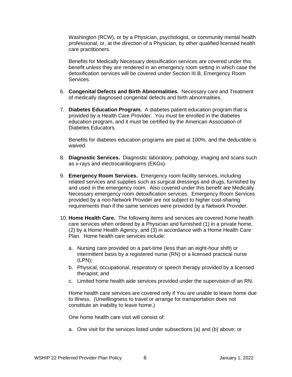Washington (RCW), or by a Physician, psychologist, or community mental health professional, or, at the direction of a Physician, by other qualified licensed health care practitioners.

Benefits for Medically Necessary detoxification services are covered under this benefit unless they are rendered in an emergency room setting in which case the detoxification services will be covered under Section III.B, Emergency Room Services.

- 6. **Congenital Defects and Birth Abnormalities.** Necessary care and Treatment of medically diagnosed congenital defects and birth abnormalities.
- 7. **Diabetes Education Program.** A diabetes patient education program that is provided by a Health Care Provider. You must be enrolled in the diabetes education program, and it must be certified by the American Association of Diabetes Educators.

Benefits for diabetes education programs are paid at 100%, and the deductible is waived.

- 8. **Diagnostic Services.** Diagnostic laboratory, pathology, imaging and scans such as x-rays and electrocardiograms (EKGs).
- 9. **Emergency Room Services.** Emergency room facility services, including related services and supplies such as surgical dressings and drugs, furnished by and used in the emergency room.Also covered under this benefit are Medically Necessary emergency room detoxification services. Emergency Room Services provided by a non-Network Provider are not subject to higher cost-sharing requirements than if the same services were provided by a Network Provider.
- 10. **Home Health Care.** The following items and services are covered home health care services when ordered by a Physician and furnished (1) in a private home, (2) by a Home Health Agency, and (3) in accordance with a Home Health Care Plan. Home health care services include:
	- a. Nursing care provided on a part-time (less than an eight-hour shift) or intermittent basis by a registered nurse (RN) or a licensed practical nurse (LPN);
	- b. Physical, occupational, respiratory or speech therapy provided by a licensed therapist; and
	- c. Limited home health aide services provided under the supervision of an RN.

Home health care services are covered only if You are unable to leave home due to Illness. (Unwillingness to travel or arrange for transportation does not constitute an inability to leave home.)

One home health care visit will consist of:

a. One visit for the services listed under subsections (a) and (b) above; or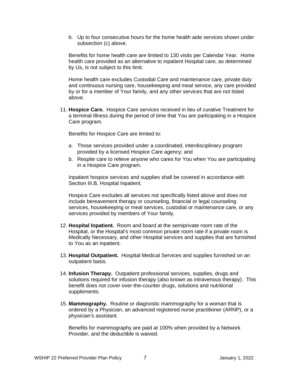b. Up to four consecutive hours for the home health aide services shown under subsection (c) above.

Benefits for home health care are limited to 130 visits per Calendar Year. Home health care provided as an alternative to inpatient Hospital care, as determined by Us, is not subject to this limit.

Home health care excludes Custodial Care and maintenance care, private duty and continuous nursing care, housekeeping and meal service, any care provided by or for a member of Your family, and any other services that are not listed above.

11. **Hospice Care.** Hospice Care services received in lieu of curative Treatment for a terminal Illness during the period of time that You are participating in a Hospice Care program.

Benefits for Hospice Care are limited to:

- a. Those services provided under a coordinated, interdisciplinary program provided by a licensed Hospice Care agency; and
- b. Respite care to relieve anyone who cares for You when You are participating in a Hospice Care program.

Inpatient hospice services and supplies shall be covered in accordance with Section III.B, Hospital Inpatient.

Hospice Care excludes all services not specifically listed above and does not include bereavement therapy or counseling, financial or legal counseling services, housekeeping or meal services, custodial or maintenance care, or any services provided by members of Your family.

- 12. **Hospital Inpatient.** Room and board at the semiprivate room rate of the Hospital, or the Hospital's most common private room rate if a private room is Medically Necessary, and other Hospital services and supplies that are furnished to You as an inpatient.
- 13. **Hospital Outpatient.** Hospital Medical Services and supplies furnished on an outpatient basis.
- 14. **Infusion Therapy.** Outpatient professional services, supplies, drugs and solutions required for infusion therapy (also known as intravenous therapy).This benefit does not cover over-the-counter drugs, solutions and nutritional supplements.
- 15. **Mammography.** Routine or diagnostic mammography for a woman that is ordered by a Physician, an advanced registered nurse practitioner (ARNP), or a physician's assistant.

Benefits for mammography are paid at 100% when provided by a Network Provider, and the deductible is waived.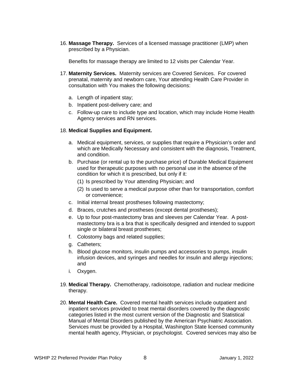16. **Massage Therapy.** Services of a licensed massage practitioner (LMP) when prescribed by a Physician.

Benefits for massage therapy are limited to 12 visits per Calendar Year.

- 17. **Maternity Services.** Maternity services are Covered Services. For covered prenatal, maternity and newborn care, Your attending Health Care Provider in consultation with You makes the following decisions:
	- a. Length of inpatient stay;
	- b. Inpatient post-delivery care; and
	- c. Follow-up care to include type and location, which may include Home Health Agency services and RN services.

#### 18. **Medical Supplies and Equipment.**

- a. Medical equipment, services, or supplies that require a Physician's order and which are Medically Necessary and consistent with the diagnosis, Treatment, and condition.
- b. Purchase (or rental up to the purchase price) of Durable Medical Equipment used for therapeutic purposes with no personal use in the absence of the condition for which it is prescribed, but only if it:
	- (1) Is prescribed by Your attending Physician; and
	- (2) Is used to serve a medical purpose other than for transportation, comfort or convenience;
- c. Initial internal breast prostheses following mastectomy;
- d. Braces, crutches and prostheses (except dental prostheses);
- e. Up to four post-mastectomy bras and sleeves per Calendar Year. A postmastectomy bra is a bra that is specifically designed and intended to support single or bilateral breast prostheses;
- f. Colostomy bags and related supplies;
- g. Catheters;
- h. Blood glucose monitors, insulin pumps and accessories to pumps, insulin infusion devices, and syringes and needles for insulin and allergy injections; and
- i. Oxygen.
- 19. **Medical Therapy.** Chemotherapy, radioisotope, radiation and nuclear medicine therapy.
- 20. **Mental Health Care.** Covered mental health services include outpatient and inpatient services provided to treat mental disorders covered by the diagnostic categories listed in the most current version of the Diagnostic and Statistical Manual of Mental Disorders published by the American Psychiatric Association. Services must be provided by a Hospital, Washington State licensed community mental health agency, Physician, or psychologist. Covered services may also be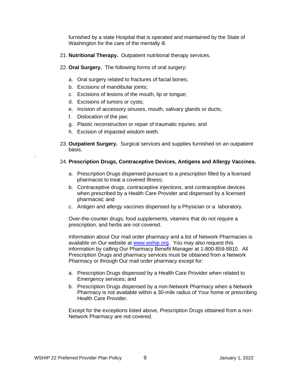furnished by a state Hospital that is operated and maintained by the State of Washington for the care of the mentally ill.

- 21. **Nutritional Therapy.** Outpatient nutritional therapy services.
- 22. **Oral Surgery.** The following forms of oral surgery:
	- a. Oral surgery related to fractures of facial bones;
	- b. Excisions of mandibular joints;
	- c. Excisions of lesions of the mouth, lip or tongue;
	- d. Excisions of tumors or cysts;
	- e. Incision of accessory sinuses, mouth, salivary glands or ducts;
	- f. Dislocation of the jaw;

.

- g. Plastic reconstruction or repair of traumatic injuries; and
- h. Excision of impacted wisdom teeth.
- 23. **Outpatient Surgery.** Surgical services and supplies furnished on an outpatient basis.

#### 24. **Prescription Drugs, Contraceptive Devices, Antigens and Allergy Vaccines.**

- a. Prescription Drugs dispensed pursuant to a prescription filled by a licensed pharmacist to treat a covered Illness;
- b. Contraceptive drugs, contraceptive injections, and contraceptive devices when prescribed by a Health Care Provider and dispensed by a licensed pharmacist; and
- c. Antigen and allergy vaccines dispensed by a Physician or a laboratory.

Over-the-counter drugs, food supplements, vitamins that do not require a prescription, and herbs are not covered.

Information about Our mail order pharmacy and a list of Network Pharmacies is available on Our website at [www.wship.org.](http://www.wship.org/) You may also request this information by calling Our Pharmacy Benefit Manager at 1-800-859-8810. All Prescription Drugs and pharmacy services must be obtained from a Network Pharmacy or through Our mail order pharmacy except for:

- a. Prescription Drugs dispensed by a Health Care Provider when related to Emergency services; and
- b. Prescription Drugs dispensed by a non-Network Pharmacy when a Network Pharmacy is not available within a 30-mile radius of Your home or prescribing Health Care Provider.

Except for the exceptions listed above, Prescription Drugs obtained from a non-Network Pharmacy are not covered.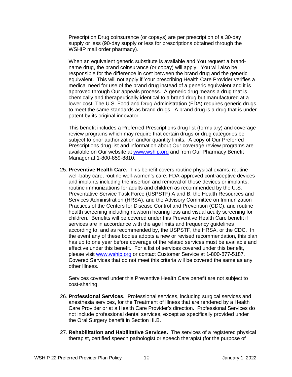Prescription Drug coinsurance (or copays) are per prescription of a 30-day supply or less (90-day supply or less for prescriptions obtained through the WSHIP mail order pharmacy).

When an equivalent generic substitute is available and You request a brandname drug, the brand coinsurance (or copay) will apply. You will also be responsible for the difference in cost between the brand drug and the generic equivalent. This will not apply if Your prescribing Health Care Provider verifies a medical need for use of the brand drug instead of a generic equivalent and it is approved through Our appeals process. A generic drug means a drug that is chemically and therapeutically identical to a brand drug but manufactured at a lower cost. The U.S. Food and Drug Administration (FDA) requires generic drugs to meet the same standards as brand drugs. A brand drug is a drug that is under patent by its original innovator.

This benefit includes a Preferred Prescriptions drug list (formulary) and coverage review programs which may require that certain drugs or drug categories be subject to prior authorization and/or quantity limits. A copy of Our Preferred Prescriptions drug list and information about Our coverage review programs are available on Our website at [www.wship.org](http://www.wship.org/) and from Our Pharmacy Benefit Manager at 1-800-859-8810.

25. **Preventive Health Care.** This benefit covers routine physical exams, routine well-baby care, routine well-women's care, FDA-approved contraceptive devices and implants including the insertion and removal of those devices or implants, routine immunizations for adults and children as recommended by the U.S. Preventative Service Task Force (USPSTF) A and B, the Health Resources and Services Administration (HRSA), and the Advisory Committee on Immunization Practices of the Centers for Disease Control and Prevention (CDC), and routine health screening including newborn hearing loss and visual acuity screening for children. Benefits will be covered under this Preventive Health Care benefit if services are in accordance with the age limits and frequency guidelines according to, and as recommended by, the USPSTF, the HRSA, or the CDC. In the event any of these bodies adopts a new or revised recommendation, this plan has up to one year before coverage of the related services must be available and effective under this benefit. For a list of services covered under this benefit, please visit [www.wship.org](http://www.whsip.org/) or contact Customer Service at 1-800-877-5187. Covered Services that do not meet this criteria will be covered the same as any other Illness.

Services covered under this Preventive Health Care benefit are not subject to cost-sharing.

- 26. **Professional Services.** Professional services, including surgical services and anesthesia services, for the Treatment of Illness that are rendered by a Health Care Provider or at a Health Care Provider's direction. Professional Services do not include professional dental services, except as specifically provided under the Oral Surgery benefit in Section III.B.
- 27. **Rehabilitation and Habilitative Services.** The services of a registered physical therapist, certified speech pathologist or speech therapist (for the purpose of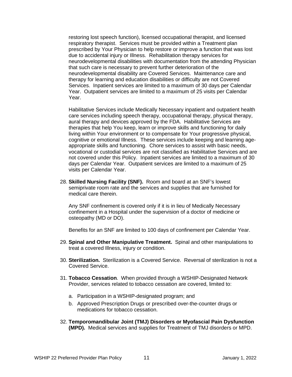restoring lost speech function), licensed occupational therapist, and licensed respiratory therapist. Services must be provided within a Treatment plan prescribed by Your Physician to help restore or improve a function that was lost due to accidental injury or Illness. Rehabilitation therapy services for neurodevelopmental disabilities with documentation from the attending Physician that such care is necessary to prevent further deterioration of the neurodevelopmental disability are Covered Services. Maintenance care and therapy for learning and education disabilities or difficulty are not Covered Services. Inpatient services are limited to a maximum of 30 days per Calendar Year. Outpatient services are limited to a maximum of 25 visits per Calendar Year.

Habilitative Services include Medically Necessary inpatient and outpatient health care services including speech therapy, occupational therapy, physical therapy, aural therapy and devices approved by the FDA. Habilitative Services are therapies that help You keep, learn or improve skills and functioning for daily living within Your environment or to compensate for Your progressive physical, cognitive or emotional Illness. These services include keeping and learning ageappropriate skills and functioning. Chore services to assist with basic needs, vocational or custodial services are not classified as Habilitative Services and are not covered under this Policy. Inpatient services are limited to a maximum of 30 days per Calendar Year. Outpatient services are limited to a maximum of 25 visits per Calendar Year.

28. **Skilled Nursing Facility (SNF).** Room and board at an SNF's lowest semiprivate room rate and the services and supplies that are furnished for medical care therein.

Any SNF confinement is covered only if it is in lieu of Medically Necessary confinement in a Hospital under the supervision of a doctor of medicine or osteopathy (MD or DO).

Benefits for an SNF are limited to 100 days of confinement per Calendar Year.

- 29. **Spinal and Other Manipulative Treatment.** Spinal and other manipulations to treat a covered Illness, injury or condition.
- 30. **Sterilization.** Sterilization is a Covered Service. Reversal of sterilization is not a Covered Service.
- 31. **Tobacco Cessation**. When provided through a WSHIP-Designated Network Provider, services related to tobacco cessation are covered, limited to:
	- a. Participation in a WSHIP-designated program; and
	- b. Approved Prescription Drugs or prescribed over-the-counter drugs or medications for tobacco cessation.
- 32. **Temporomandibular Joint (TMJ) Disorders or Myofascial Pain Dysfunction (MPD).** Medical services and supplies for Treatment of TMJ disorders or MPD.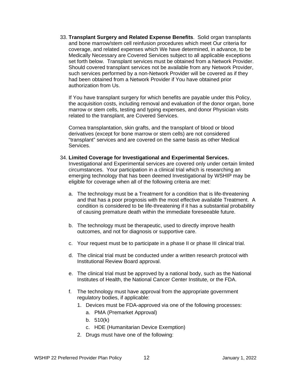33. **Transplant Surgery and Related Expense Benefits**. Solid organ transplants and bone marrow/stem cell reinfusion procedures which meet Our criteria for coverage, and related expenses which We have determined, in advance, to be Medically Necessary are Covered Services subject to all applicable exceptions set forth below. Transplant services must be obtained from a Network Provider. Should covered transplant services not be available from any Network Provider, such services performed by a non-Network Provider will be covered as if they had been obtained from a Network Provider if You have obtained prior authorization from Us.

If You have transplant surgery for which benefits are payable under this Policy, the acquisition costs, including removal and evaluation of the donor organ, bone marrow or stem cells, testing and typing expenses, and donor Physician visits related to the transplant, are Covered Services.

Cornea transplantation, skin grafts, and the transplant of blood or blood derivatives (except for bone marrow or stem cells) are not considered "transplant" services and are covered on the same basis as other Medical Services.

#### 34. **Limited Coverage for Investigational and Experimental Services.**

Investigational and Experimental services are covered only under certain limited circumstances. Your participation in a clinical trial which is researching an emerging technology that has been deemed Investigational by WSHIP may be eligible for coverage when all of the following criteria are met:

- a. The technology must be a Treatment for a condition that is life-threatening and that has a poor prognosis with the most effective available Treatment. A condition is considered to be life-threatening if it has a substantial probability of causing premature death within the immediate foreseeable future.
- b. The technology must be therapeutic, used to directly improve health outcomes, and not for diagnosis or supportive care.
- c. Your request must be to participate in a phase II or phase III clinical trial.
- d. The clinical trial must be conducted under a written research protocol with Institutional Review Board approval.
- e. The clinical trial must be approved by a national body, such as the National Institutes of Health, the National Cancer Center Institute, or the FDA.
- f. The technology must have approval from the appropriate government regulatory bodies, if applicable:
	- 1. Devices must be FDA-approved via one of the following processes:
		- a. PMA (Premarket Approval)
		- b. 510(k)
		- c. HDE (Humanitarian Device Exemption)
	- 2. Drugs must have one of the following: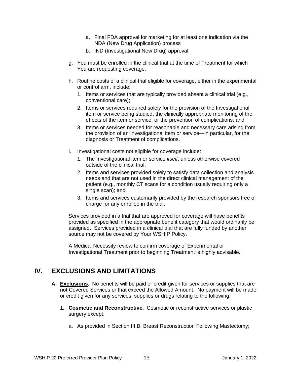- a. Final FDA approval for marketing for at least one indication via the NDA (New Drug Application) process
- b. IND (Investigational New Drug) approval
- g. You must be enrolled in the clinical trial at the time of Treatment for which You are requesting coverage.
- h. Routine costs of a clinical trial eligible for coverage, either in the experimental or control arm, include:
	- 1. Items or services that are typically provided absent a clinical trial (e.g., conventional care);
	- 2. Items or services required solely for the provision of the Investigational item or service being studied, the clinically appropriate monitoring of the effects of the item or service, or the prevention of complications; and
	- 3. Items or services needed for reasonable and necessary care arising from the provision of an Investigational item or service—in particular, for the diagnosis or Treatment of complications.
- i. Investigational costs not eligible for coverage include:
	- 1. The Investigational item or service *itself*, unless otherwise covered outside of the clinical trial;
	- 2. Items and services provided solely to satisfy data collection and analysis needs and that are not used in the direct clinical management of the patient (e.g., monthly CT scans for a condition usually requiring only a single scan); and
	- 3. Items and services customarily provided by the research sponsors free of charge for any enrollee in the trial.

Services provided in a trial that are approved for coverage will have benefits provided as specified in the appropriate benefit category that would ordinarily be assigned. Services provided in a clinical trial that are fully funded by another source may not be covered by Your WSHIP Policy.

A Medical Necessity review to confirm coverage of Experimental or Investigational Treatment prior to beginning Treatment is highly advisable.

## **IV. EXCLUSIONS AND LIMITATIONS**

- **A. Exclusions.** No benefits will be paid or credit given for services or supplies that are not Covered Services or that exceed the Allowed Amount. No payment will be made or credit given for any services, supplies or drugs relating to the following:
	- 1. **Cosmetic and Reconstructive.** Cosmetic or reconstructive services or plastic surgery except:
		- a. As provided in Section III.B, Breast Reconstruction Following Mastectomy;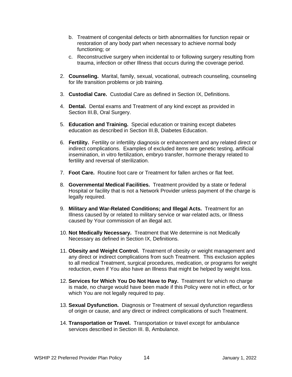- b. Treatment of congenital defects or birth abnormalities for function repair or restoration of any body part when necessary to achieve normal body functioning; or
- c. Reconstructive surgery when incidental to or following surgery resulting from trauma, infection or other Illness that occurs during the coverage period.
- 2. **Counseling.** Marital, family, sexual, vocational, outreach counseling, counseling for life transition problems or job training.
- 3. **Custodial Care.** Custodial Care as defined in Section IX, Definitions.
- 4. **Dental.** Dental exams and Treatment of any kind except as provided in Section III.B, Oral Surgery.
- 5. **Education and Training.** Special education or training except diabetes education as described in Section III.B, Diabetes Education.
- 6. **Fertility.** Fertility or infertility diagnosis or enhancement and any related direct or indirect complications. Examples of excluded items are genetic testing, artificial insemination, in vitro fertilization, embryo transfer, hormone therapy related to fertility and reversal of sterilization.
- 7. **Foot Care.** Routine foot care or Treatment for fallen arches or flat feet.
- 8. **Governmental Medical Facilities.** Treatment provided by a state or federal Hospital or facility that is not a Network Provider unless payment of the charge is legally required.
- 9. **Military and War-Related Conditions; and Illegal Acts.** Treatment for an Illness caused by or related to military service or war-related acts, or Illness caused by Your commission of an illegal act.
- 10. **Not Medically Necessary.** Treatment that We determine is not Medically Necessary as defined in Section IX, Definitions.
- 11. **Obesity and Weight Control.** Treatment of obesity or weight management and any direct or indirect complications from such Treatment. This exclusion applies to all medical Treatment, surgical procedures, medication, or programs for weight reduction, even if You also have an Illness that might be helped by weight loss.
- 12. **Services for Which You Do Not Have to Pay.** Treatment for which no charge is made, no charge would have been made if this Policy were not in effect, or for which You are not legally required to pay.
- 13. **Sexual Dysfunction.** Diagnosis or Treatment of sexual dysfunction regardless of origin or cause, and any direct or indirect complications of such Treatment.
- 14. **Transportation or Travel.** Transportation or travel except for ambulance services described in Section III. B. Ambulance.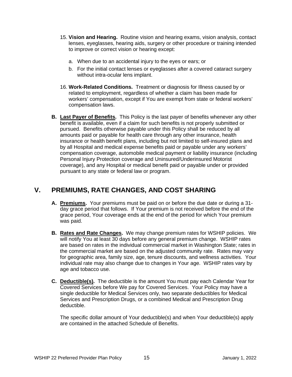- 15. **Vision and Hearing.** Routine vision and hearing exams, vision analysis, contact lenses, eyeglasses, hearing aids, surgery or other procedure or training intended to improve or correct vision or hearing except:
	- a. When due to an accidental injury to the eyes or ears; or
	- b. For the initial contact lenses or eyeglasses after a covered cataract surgery without intra-ocular lens implant.
- 16. **Work-Related Conditions.** Treatment or diagnosis for Illness caused by or related to employment, regardless of whether a claim has been made for workers' compensation, except if You are exempt from state or federal workers' compensation laws.
- **B. Last Payer of Benefits.** This Policy is the last payer of benefits whenever any other benefit is available, even if a claim for such benefits is not properly submitted or pursued. Benefits otherwise payable under this Policy shall be reduced by all amounts paid or payable for health care through any other insurance, health insurance or health benefit plans, including but not limited to self-insured plans and by all Hospital and medical expense benefits paid or payable under any workers' compensation coverage, automobile medical payment or liability insurance (including Personal Injury Protection coverage and Uninsured/Underinsured Motorist coverage), and any Hospital or medical benefit paid or payable under or provided pursuant to any state or federal law or program.

# **V. PREMIUMS, RATE CHANGES, AND COST SHARING**

- **A. Premiums.** Your premiums must be paid on or before the due date or during a 31 day grace period that follows. If Your premium is not received before the end of the grace period, Your coverage ends at the end of the period for which Your premium was paid.
- **B. Rates and Rate Changes.** We may change premium rates for WSHIP policies. We will notify You at least 30 days before any general premium change. WSHIP rates are based on rates in the individual commercial market in Washington State; rates in the commercial market are based on the adjusted community rate. Rates may vary for geographic area, family size, age, tenure discounts, and wellness activities. Your individual rate may also change due to changes in Your age. WSHIP rates vary by age and tobacco use.
- **C. Deductible(s).** The deductible is the amount You must pay each Calendar Year for Covered Services before We pay for Covered Services. Your Policy may have a single deductible for Medical Services only, two separate deductibles for Medical Services and Prescription Drugs, or a combined Medical and Prescription Drug deductible.

The specific dollar amount of Your deductible(s) and when Your deductible(s) apply are contained in the attached Schedule of Benefits.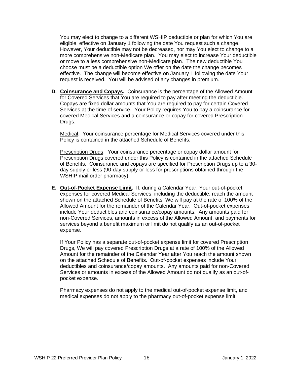You may elect to change to a different WSHIP deductible or plan for which You are eligible, effective on January 1 following the date You request such a change. However, Your deductible may not be decreased, nor may You elect to change to a more comprehensive non-Medicare plan. You may elect to increase Your deductible or move to a less comprehensive non-Medicare plan. The new deductible You choose must be a deductible option We offer on the date the change becomes effective. The change will become effective on January 1 following the date Your request is received. You will be advised of any changes in premium.

**D. Coinsurance and Copays.** Coinsurance is the percentage of the Allowed Amount for Covered Services that You are required to pay after meeting the deductible. Copays are fixed dollar amounts that You are required to pay for certain Covered Services at the time of service. Your Policy requires You to pay a coinsurance for covered Medical Services and a coinsurance or copay for covered Prescription Drugs.

Medical: Your coinsurance percentage for Medical Services covered under this Policy is contained in the attached Schedule of Benefits.

Prescription Drugs: Your coinsurance percentage or copay dollar amount for Prescription Drugs covered under this Policy is contained in the attached Schedule of Benefits. Coinsurance and copays are specified for Prescription Drugs up to a 30 day supply or less (90-day supply or less for prescriptions obtained through the WSHIP mail order pharmacy).

**E. Out-of-Pocket Expense Limit.** If, during a Calendar Year, Your out-of-pocket expenses for covered Medical Services, including the deductible, reach the amount shown on the attached Schedule of Benefits, We will pay at the rate of 100% of the Allowed Amount for the remainder of the Calendar Year. Out-of-pocket expenses include Your deductibles and coinsurance/copay amounts. Any amounts paid for non-Covered Services, amounts in excess of the Allowed Amount, and payments for services beyond a benefit maximum or limit do not qualify as an out-of-pocket expense.

If Your Policy has a separate out-of-pocket expense limit for covered Prescription Drugs, We will pay covered Prescription Drugs at a rate of 100% of the Allowed Amount for the remainder of the Calendar Year after You reach the amount shown on the attached Schedule of Benefits. Out-of-pocket expenses include Your deductibles and coinsurance/copay amounts. Any amounts paid for non-Covered Services or amounts in excess of the Allowed Amount do not qualify as an out-ofpocket expense.

Pharmacy expenses do not apply to the medical out-of-pocket expense limit, and medical expenses do not apply to the pharmacy out-of-pocket expense limit.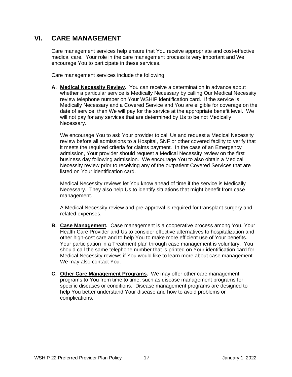# **VI. CARE MANAGEMENT**

Care management services help ensure that You receive appropriate and cost-effective medical care. Your role in the care management process is very important and We encourage You to participate in these services.

Care management services include the following:

**A. Medical Necessity Review.** You can receive a determination in advance about whether a particular service is Medically Necessary by calling Our Medical Necessity review telephone number on Your WSHIP identification card. If the service is Medically Necessary and a Covered Service and You are eligible for coverage on the date of service, then We will pay for the service at the appropriate benefit level. We will not pay for any services that are determined by Us to be not Medically Necessary.

We encourage You to ask Your provider to call Us and request a Medical Necessity review before all admissions to a Hospital, SNF or other covered facility to verify that it meets the required criteria for claims payment. In the case of an Emergency admission, Your provider should request a Medical Necessity review on the first business day following admission. We encourage You to also obtain a Medical Necessity review prior to receiving any of the outpatient Covered Services that are listed on Your identification card.

Medical Necessity reviews let You know ahead of time if the service is Medically Necessary. They also help Us to identify situations that might benefit from case management.

A Medical Necessity review and pre-approval is required for transplant surgery and related expenses.

- **B. Case Management.** Case management is a cooperative process among You, Your Health Care Provider and Us to consider effective alternatives to hospitalization and other high-cost care and to help You to make more efficient use of Your benefits. Your participation in a Treatment plan through case management is voluntary. You should call the same telephone number that is printed on Your identification card for Medical Necessity reviews if You would like to learn more about case management. We may also contact You.
- **C. Other Care Management Programs.** We may offer other care management programs to You from time to time, such as disease management programs for specific diseases or conditions. Disease management programs are designed to help You better understand Your disease and how to avoid problems or complications.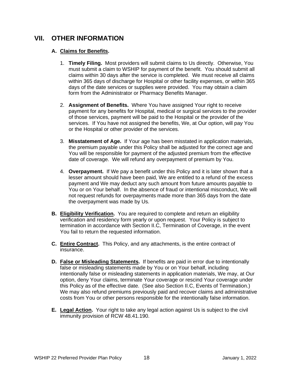## **VII. OTHER INFORMATION**

## **A. Claims for Benefits.**

- 1. **Timely Filing.** Most providers will submit claims to Us directly. Otherwise, You must submit a claim to WSHIP for payment of the benefit. You should submit all claims within 30 days after the service is completed. We must receive all claims within 365 days of discharge for Hospital or other facility expenses, or within 365 days of the date services or supplies were provided. You may obtain a claim form from the Administrator or Pharmacy Benefits Manager.
- 2. **Assignment of Benefits.** Where You have assigned Your right to receive payment for any benefits for Hospital, medical or surgical services to the provider of those services, payment will be paid to the Hospital or the provider of the services. If You have not assigned the benefits, We, at Our option, will pay You or the Hospital or other provider of the services.
- 3. **Misstatement of Age.** If Your age has been misstated in application materials, the premium payable under this Policy shall be adjusted for the correct age and You will be responsible for payment of the adjusted premium from the effective date of coverage. We will refund any overpayment of premium by You.
- 4. **Overpayment.** If We pay a benefit under this Policy and it is later shown that a lesser amount should have been paid, We are entitled to a refund of the excess payment and We may deduct any such amount from future amounts payable to You or on Your behalf. In the absence of fraud or intentional misconduct, We will not request refunds for overpayments made more than 365 days from the date the overpayment was made by Us.
- **B. Eligibility Verification.** You are required to complete and return an eligibility verification and residency form yearly or upon request. Your Policy is subject to termination in accordance with Section II.C, Termination of Coverage, in the event You fail to return the requested information.
- **C. Entire Contract.** This Policy, and any attachments, is the entire contract of insurance.
- **D. False or Misleading Statements.** If benefits are paid in error due to intentionally false or misleading statements made by You or on Your behalf, including intentionally false or misleading statements in application materials, We may, at Our option, deny Your claims, terminate Your coverage or rescind Your coverage under this Policy as of the effective date. (See also Section II.C, Events of Termination.) We may also refund premiums previously paid and recover claims and administrative costs from You or other persons responsible for the intentionally false information.
- **E. Legal Action.** Your right to take any legal action against Us is subject to the civil immunity provision of RCW 48.41.190.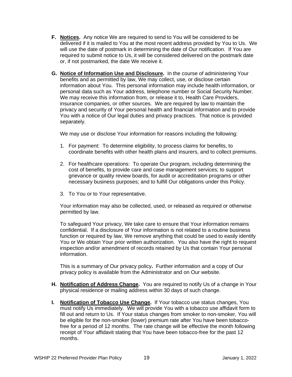- **F. Notices.** Any notice We are required to send to You will be considered to be delivered if it is mailed to You at the most recent address provided by You to Us. We will use the date of postmark in determining the date of Our notification. If You are required to submit notice to Us, it will be considered delivered on the postmark date or, if not postmarked, the date We receive it.
- **G. Notice of Information Use and Disclosure.** In the course of administering Your benefits and as permitted by law, We may collect, use, or disclose certain information about You. This personal information may include health information, or personal data such as Your address, telephone number or Social Security Number. We may receive this information from, or release it to, Health Care Providers, insurance companies, or other sources. We are required by law to maintain the privacy and security of Your personal health and financial information and to provide You with a notice of Our legal duties and privacy practices. That notice is provided separately.

We may use or disclose Your information for reasons including the following:

- 1. For payment: To determine eligibility, to process claims for benefits, to coordinate benefits with other health plans and insurers, and to collect premiums.
- 2. For healthcare operations: To operate Our program, including determining the cost of benefits, to provide care and case management services; to support grievance or quality review boards, for audit or accreditation programs or other necessary business purposes; and to fulfill Our obligations under this Policy.
- 3. To You or to Your representative.

Your information may also be collected, used, or released as required or otherwise permitted by law.

To safeguard Your privacy, We take care to ensure that Your information remains confidential. If a disclosure of Your information is not related to a routine business function or required by law, We remove anything that could be used to easily identify You or We obtain Your prior written authorization. You also have the right to request inspection and/or amendment of records retained by Us that contain Your personal information.

This is a summary of Our privacy policy**.** Further information and a copy of Our privacy policy is available from the Administrator and on Our website.

- **H. Notification of Address Change.** You are required to notify Us of a change in Your physical residence or mailing address within 30 days of such change.
- **I. Notification of Tobacco Use Change.** If Your tobacco use status changes, You must notify Us immediately. We will provide You with a tobacco use affidavit form to fill out and return to Us. If Your status changes from smoker to non-smoker, You will be eligible for the non-smoker (lower) premium rate after You have been tobaccofree for a period of 12 months. The rate change will be effective the month following receipt of Your affidavit stating that You have been tobacco-free for the past 12 months.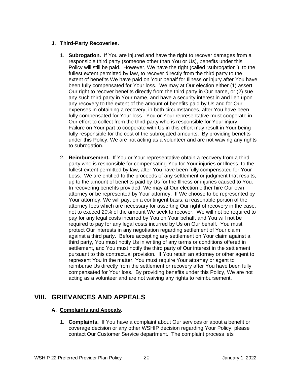## **J. Third-Party Recoveries.**

- 1. **Subrogation.** If You are injured and have the right to recover damages from a responsible third party (someone other than You or Us), benefits under this Policy will still be paid. However, We have the right (called "subrogation"), to the fullest extent permitted by law, to recover directly from the third party to the extent of benefits We have paid on Your behalf for Illness or injury after You have been fully compensated for Your loss. We may at Our election either (1) assert Our right to recover benefits directly from the third party in Our name, or (2) sue any such third party in Your name, and have a security interest in and lien upon any recovery to the extent of the amount of benefits paid by Us and for Our expenses in obtaining a recovery, in both circumstances, after You have been fully compensated for Your loss. You or Your representative must cooperate in Our effort to collect from the third party who is responsible for Your injury. Failure on Your part to cooperate with Us in this effort may result in Your being fully responsible for the cost of the subrogated amounts. By providing benefits under this Policy, We are not acting as a volunteer and are not waiving any rights to subrogation.
- 2. **Reimbursement.** If You or Your representative obtain a recovery from a third party who is responsible for compensating You for Your injuries or Illness, to the fullest extent permitted by law, after You have been fully compensated for Your Loss. We are entitled to the proceeds of any settlement or judgment that results, up to the amount of benefits paid by Us for the Illness or injuries caused to You. In recovering benefits provided, We may at Our election either hire Our own attorney or be represented by Your attorney. If We choose to be represented by Your attorney, We will pay, on a contingent basis, a reasonable portion of the attorney fees which are necessary for asserting Our right of recovery in the case, not to exceed 20% of the amount We seek to recover. We will not be required to pay for any legal costs incurred by You on Your behalf, and You will not be required to pay for any legal costs incurred by Us on Our behalf. You must protect Our interests in any negotiation regarding settlement of Your claim against a third party. Before accepting any settlement on Your claim against a third party, You must notify Us in writing of any terms or conditions offered in settlement, and You must notify the third party of Our interest in the settlement pursuant to this contractual provision. If You retain an attorney or other agent to represent You in the matter, You must require Your attorney or agent to reimburse Us directly from the settlement or recovery after You have been fully compensated for Your loss. By providing benefits under this Policy, We are not acting as a volunteer and are not waiving any rights to reimbursement.

# **VIII. GRIEVANCES AND APPEALS**

## **A. Complaints and Appeals.**

1. **Complaints.** If You have a complaint about Our services or about a benefit or coverage decision or any other WSHIP decision regarding Your Policy, please contact Our Customer Service department. The complaint process lets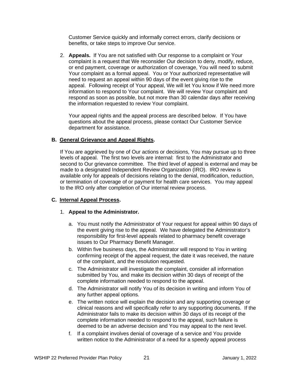Customer Service quickly and informally correct errors, clarify decisions or benefits, or take steps to improve Our service.

2. **Appeals.** If You are not satisfied with Our response to a complaint or Your complaint is a request that We reconsider Our decision to deny, modify, reduce, or end payment, coverage or authorization of coverage, You will need to submit Your complaint as a formal appeal. You or Your authorized representative will need to request an appeal within 90 days of the event giving rise to the appeal. Following receipt of Your appeal, We will let You know if We need more information to respond to Your complaint. We will review Your complaint and respond as soon as possible, but not more than 30 calendar days after receiving the information requested to review Your complaint.

Your appeal rights and the appeal process are described below. If You have questions about the appeal process, please contact Our Customer Service department for assistance.

### **B. General Grievance and Appeal Rights.**

If You are aggrieved by one of Our actions or decisions, You may pursue up to three levels of appeal. The first two levels are internal: first to the Administrator and second to Our grievance committee. The third level of appeal is external and may be made to a designated Independent Review Organization (IRO). IRO review is available only for appeals of decisions relating to the denial, modification, reduction, or termination of coverage of or payment for health care services. You may appeal to the IRO only after completion of Our internal review process.

### **C. Internal Appeal Process.**

#### 1. **Appeal to the Administrator.**

- a. You must notify the Administrator of Your request for appeal within 90 days of the event giving rise to the appeal. We have delegated the Administrator's responsibility for first-level appeals related to pharmacy benefit coverage issues to Our Pharmacy Benefit Manager.
- b. Within five business days, the Administrator will respond to You in writing confirming receipt of the appeal request, the date it was received, the nature of the complaint, and the resolution requested.
- c. The Administrator will investigate the complaint, consider all information submitted by You, and make its decision within 30 days of receipt of the complete information needed to respond to the appeal.
- d. The Administrator will notify You of its decision in writing and inform You of any further appeal options.
- e. The written notice will explain the decision and any supporting coverage or clinical reasons and will specifically refer to any supporting documents. If the Administrator fails to make its decision within 30 days of its receipt of the complete information needed to respond to the appeal, such failure is deemed to be an adverse decision and You may appeal to the next level.
- f. If a complaint involves denial of coverage of a service and You provide written notice to the Administrator of a need for a speedy appeal process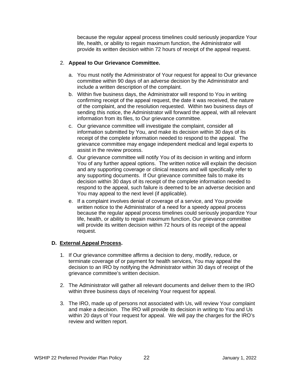because the regular appeal process timelines could seriously jeopardize Your life, health, or ability to regain maximum function, the Administrator will provide its written decision within 72 hours of receipt of the appeal request.

### 2. **Appeal to Our Grievance Committee.**

- a. You must notify the Administrator of Your request for appeal to Our grievance committee within 90 days of an adverse decision by the Administrator and include a written description of the complaint.
- b. Within five business days, the Administrator will respond to You in writing confirming receipt of the appeal request, the date it was received, the nature of the complaint, and the resolution requested. Within two business days of sending this notice, the Administrator will forward the appeal, with all relevant information from its files, to Our grievance committee.
- c. Our grievance committee will investigate the complaint, consider all information submitted by You, and make its decision within 30 days of its receipt of the complete information needed to respond to the appeal. The grievance committee may engage independent medical and legal experts to assist in the review process.
- d. Our grievance committee will notify You of its decision in writing and inform You of any further appeal options. The written notice will explain the decision and any supporting coverage or clinical reasons and will specifically refer to any supporting documents. If Our grievance committee fails to make its decision within 30 days of its receipt of the complete information needed to respond to the appeal, such failure is deemed to be an adverse decision and You may appeal to the next level (if applicable).
- e. If a complaint involves denial of coverage of a service, and You provide written notice to the Administrator of a need for a speedy appeal process because the regular appeal process timelines could seriously jeopardize Your life, health, or ability to regain maximum function, Our grievance committee will provide its written decision within 72 hours of its receipt of the appeal request.

### **D. External Appeal Process.**

- 1. If Our grievance committee affirms a decision to deny, modify, reduce, or terminate coverage of or payment for health services, You may appeal the decision to an IRO by notifying the Administrator within 30 days of receipt of the grievance committee's written decision.
- 2. The Administrator will gather all relevant documents and deliver them to the IRO within three business days of receiving Your request for appeal.
- 3. The IRO, made up of persons not associated with Us, will review Your complaint and make a decision. The IRO will provide its decision in writing to You and Us within 20 days of Your request for appeal. We will pay the charges for the IRO's review and written report.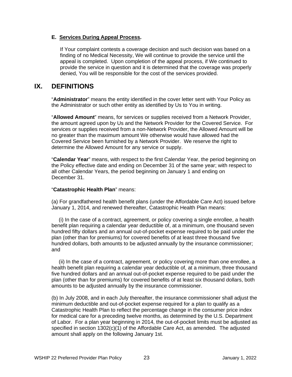#### **E. Services During Appeal Process.**

If Your complaint contests a coverage decision and such decision was based on a finding of no Medical Necessity, We will continue to provide the service until the appeal is completed. Upon completion of the appeal process, if We continued to provide the service in question and it is determined that the coverage was properly denied, You will be responsible for the cost of the services provided.

## **IX. DEFINITIONS**

"**Administrator**" means the entity identified in the cover letter sent with Your Policy as the Administrator or such other entity as identified by Us to You in writing.

"**Allowed Amount**" means, for services or supplies received from a Network Provider, the amount agreed upon by Us and the Network Provider for the Covered Service. For services or supplies received from a non-Network Provider, the Allowed Amount will be no greater than the maximum amount We otherwise would have allowed had the Covered Service been furnished by a Network Provider. We reserve the right to determine the Allowed Amount for any service or supply.

"**Calendar Year**" means, with respect to the first Calendar Year, the period beginning on the Policy effective date and ending on December 31 of the same year; with respect to all other Calendar Years, the period beginning on January 1 and ending on December 31.

#### "**Catastrophic Health Plan**" means:

(a) For grandfathered health benefit plans (under the Affordable Care Act) issued before January 1, 2014, and renewed thereafter, Catastrophic Health Plan means:

 (i) In the case of a contract, agreement, or policy covering a single enrollee, a health benefit plan requiring a calendar year deductible of, at a minimum, one thousand seven hundred fifty dollars and an annual out-of-pocket expense required to be paid under the plan (other than for premiums) for covered benefits of at least three thousand five hundred dollars, both amounts to be adjusted annually by the insurance commissioner; and

 (ii) In the case of a contract, agreement, or policy covering more than one enrollee, a health benefit plan requiring a calendar year deductible of, at a minimum, three thousand five hundred dollars and an annual out-of-pocket expense required to be paid under the plan (other than for premiums) for covered benefits of at least six thousand dollars, both amounts to be adjusted annually by the insurance commissioner.

(b) In July 2008, and in each July thereafter, the insurance commissioner shall adjust the minimum deductible and out-of-pocket expense required for a plan to qualify as a Catastrophic Health Plan to reflect the percentage change in the consumer price index for medical care for a preceding twelve months, as determined by the U.S. Department of Labor. For a plan year beginning in 2014, the out-of-pocket limits must be adjusted as specified in section 1302(c)(1) of the Affordable Care Act, as amended. The adjusted amount shall apply on the following January 1st.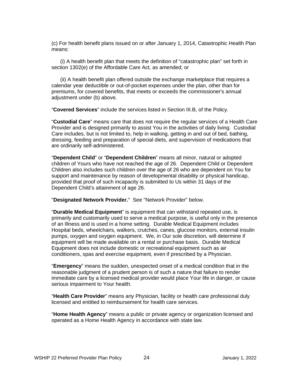(c) For health benefit plans issued on or after January 1, 2014, Catastrophic Health Plan means:

 (i) A health benefit plan that meets the definition of "catastrophic plan" set forth in section 1302(e) of the Affordable Care Act, as amended; or

 (ii) A health benefit plan offered outside the exchange marketplace that requires a calendar year deductible or out-of-pocket expenses under the plan, other than for premiums, for covered benefits, that meets or exceeds the commissioner's annual adjustment under (b) above.

"**Covered Services**" include the services listed in Section III.B, of the Policy.

"**Custodial Care**" means care that does not require the regular services of a Health Care Provider and is designed primarily to assist You in the activities of daily living. Custodial Care includes, but is not limited to, help in walking, getting in and out of bed, bathing, dressing, feeding and preparation of special diets, and supervision of medications that are ordinarily self-administered.

"**Dependent Child**" or "**Dependent Children**" means all minor, natural or adopted children of Yours who have not reached the age of 26. Dependent Child or Dependent Children also includes such children over the age of 26 who are dependent on You for support and maintenance by reason of developmental disability or physical handicap, provided that proof of such incapacity is submitted to Us within 31 days of the Dependent Child's attainment of age 26.

"**Designated Network Provider.**" See "Network Provider" below.

"**Durable Medical Equipment**" is equipment that can withstand repeated use, is primarily and customarily used to serve a medical purpose, is useful only in the presence of an Illness and is used in a home setting. Durable Medical Equipment includes Hospital beds, wheelchairs, walkers, crutches, canes, glucose monitors, external insulin pumps, oxygen and oxygen equipment. We, in Our sole discretion, will determine if equipment will be made available on a rental or purchase basis. Durable Medical Equipment does not include domestic or recreational equipment such as air conditioners, spas and exercise equipment, even if prescribed by a Physician.

"**Emergency**" means the sudden, unexpected onset of a medical condition that in the reasonable judgment of a prudent person is of such a nature that failure to render immediate care by a licensed medical provider would place Your life in danger, or cause serious impairment to Your health.

"**Health Care Provider**" means any Physician, facility or health care professional duly licensed and entitled to reimbursement for health care services.

"**Home Health Agency**" means a public or private agency or organization licensed and operated as a Home Health Agency in accordance with state law.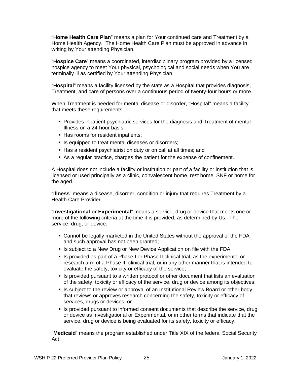"**Home Health Care Plan**" means a plan for Your continued care and Treatment by a Home Health Agency. The Home Health Care Plan must be approved in advance in writing by Your attending Physician.

"**Hospice Care**" means a coordinated, interdisciplinary program provided by a licensed hospice agency to meet Your physical, psychological and social needs when You are terminally ill as certified by Your attending Physician.

"**Hospital**" means a facility licensed by the state as a Hospital that provides diagnosis, Treatment, and care of persons over a continuous period of twenty-four hours or more.

When Treatment is needed for mental disease or disorder, "Hospital" means a facility that meets these requirements:

- **Provides inpatient psychiatric services for the diagnosis and Treatment of mental** Illness on a 24-hour basis;
- Has rooms for resident inpatients;
- Is equipped to treat mental diseases or disorders;
- Has a resident psychiatrist on duty or on call at all times; and
- As a regular practice, charges the patient for the expense of confinement.

A Hospital does not include a facility or institution or part of a facility or institution that is licensed or used principally as a clinic, convalescent home, rest home, SNF or home for the aged.

"**Illness**" means a disease, disorder, condition or injury that requires Treatment by a Health Care Provider.

"**Investigational or Experimental**" means a service, drug or device that meets one or more of the following criteria at the time it is provided, as determined by Us. The service, drug, or device:

- Cannot be legally marketed in the United States without the approval of the FDA and such approval has not been granted;
- Is subject to a New Drug or New Device Application on file with the FDA;
- **IS provided as part of a Phase I or Phase II clinical trial, as the experimental or** research arm of a Phase III clinical trial, or in any other manner that is intended to evaluate the safety, toxicity or efficacy of the service;
- If Is provided pursuant to a written protocol or other document that lists an evaluation of the safety, toxicity or efficacy of the service, drug or device among its objectives;
- If Is subject to the review or approval of an Institutional Review Board or other body that reviews or approves research concerning the safety, toxicity or efficacy of services, drugs or devices; or
- If Is provided pursuant to informed consent documents that describe the service, drug or device as Investigational or Experimental, or in other terms that indicate that the service, drug or device is being evaluated for its safety, toxicity or efficacy.

"**Medicaid**" means the program established under Title XIX of the federal Social Security Act.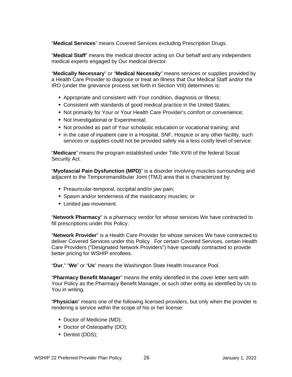"**Medical Services**" means Covered Services excluding Prescription Drugs.

"**Medical Staff**" means the medical director acting on Our behalf and any independent medical experts engaged by Our medical director.

"**Medically Necessary**" or "**Medical Necessity**" means services or supplies provided by a Health Care Provider to diagnose or treat an Illness that Our Medical Staff and/or the IRO (under the grievance process set forth in Section VIII) determines is:

- Appropriate and consistent with Your condition, diagnosis or Illness;
- Consistent with standards of good medical practice in the United States;
- Not primarily for Your or Your Health Care Provider's comfort or convenience;
- Not Investigational or Experimental;
- Not provided as part of Your scholastic education or vocational training; and
- in the case of inpatient care in a Hospital, SNF, Hospice or any other facility, such services or supplies could not be provided safely via a less costly level of service.

"**Medicare**" means the program established under Title XVIII of the federal Social Security Act.

"**Myofascial Pain Dysfunction (MPD)**" is a disorder involving muscles surrounding and adjacent to the Temporomandibular Joint (TMJ) area that is characterized by:

- **Preauricular-temporal, occipital and/or jaw pain;**
- **Spasm and/or tenderness of the masticatory muscles; or**
- **Example 1** Limited jaw movement.

"**Network Pharmacy**" is a pharmacy vendor for whose services We have contracted to fill prescriptions under this Policy.

"**Network Provider**" is a Health Care Provider for whose services We have contracted to deliver Covered Services under this Policy. For certain Covered Services, certain Health Care Providers ("Designated Network Providers") have specially contracted to provide better pricing for WSHIP enrollees.

"**Our**," "**We**" or "**Us**" means the Washington State Health Insurance Pool.

"**Pharmacy Benefit Manager**" means the entity identified in the cover letter sent with Your Policy as the Pharmacy Benefit Manager, or such other entity as identified by Us to You in writing.

"**Physician**" means one of the following licensed providers, but only when the provider is rendering a service within the scope of his or her license:

- Doctor of Medicine (MD);
- Doctor of Osteopathy (DO);
- Dentist (DDS);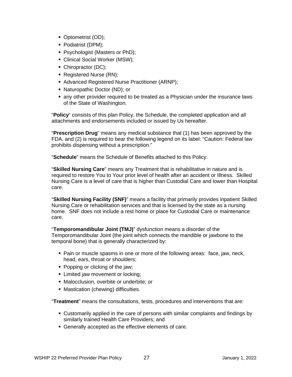- Optometrist (OD);
- Podiatrist (DPM);
- **Psychologist (Masters or PhD);**
- Clinical Social Worker (MSW);
- Chiropractor (DC);
- Registered Nurse (RN);
- Advanced Registered Nurse Practitioner (ARNP);
- Naturopathic Doctor (ND); or
- any other provider required to be treated as a Physician under the insurance laws of the State of Washington.

"**Policy**" consists of this plan Policy, the Schedule, the completed application and all attachments and endorsements included or issued by Us hereafter.

"**Prescription Drug**" means any medical substance that (1) has been approved by the FDA, and (2) is required to bear the following legend on its label: "Caution: Federal law prohibits dispensing without a prescription."

"**Schedule**" means the Schedule of Benefits attached to this Policy.

"**Skilled Nursing Care**" means any Treatment that is rehabilitative in nature and is required to restore You to Your prior level of health after an accident or Illness. Skilled Nursing Care is a level of care that is higher than Custodial Care and lower than Hospital care.

"**Skilled Nursing Facility (SNF)**" means a facility that primarily provides inpatient Skilled Nursing Care or rehabilitation services and that is licensed by the state as a nursing home. SNF does not include a rest home or place for Custodial Care or maintenance care.

"**Temporomandibular Joint (TMJ)**" dysfunction means a disorder of the Temporomandibular Joint (the joint which connects the mandible or jawbone to the temporal bone) that is generally characterized by:

- Pain or muscle spasms in one or more of the following areas: face, jaw, neck, head, ears, throat or shoulders;
- Popping or clicking of the jaw;
- **EXECUTE:** Limited jaw movement or locking;
- Malocclusion, overbite or underbite; or
- **Mastication (chewing) difficulties.**

"**Treatment**" means the consultations, tests, procedures and interventions that are:

- Customarily applied in the care of persons with similar complaints and findings by similarly trained Health Care Providers; and
- Generally accepted as the effective elements of care.